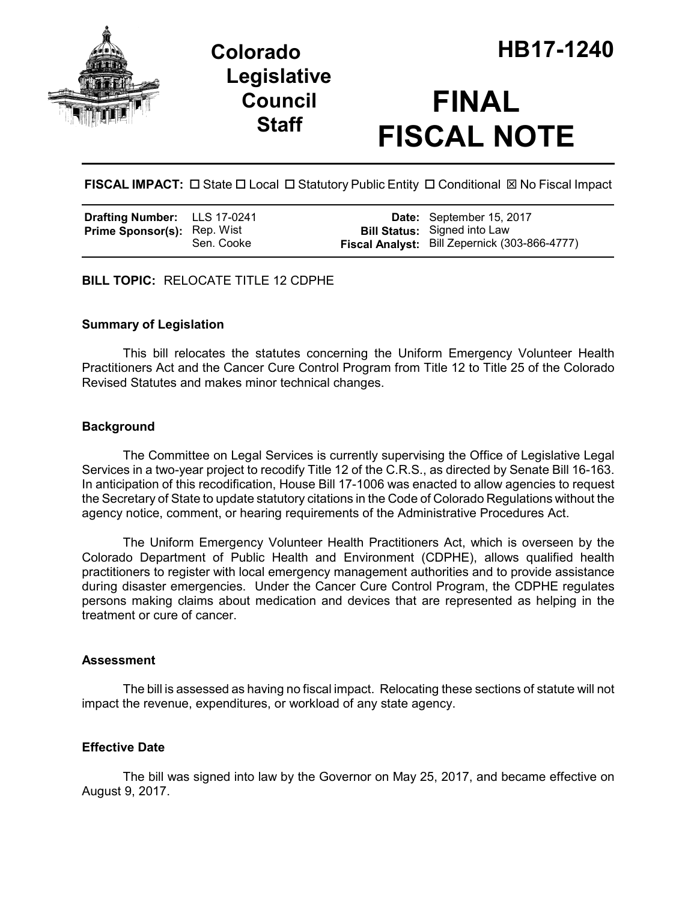



# **FINAL FISCAL NOTE**

FISCAL IMPACT:  $\Box$  State  $\Box$  Local  $\Box$  Statutory Public Entity  $\Box$  Conditional  $\boxtimes$  No Fiscal Impact

| Drafting Number: LLS 17-0241       |            | Date: September 15, 2017                                                             |
|------------------------------------|------------|--------------------------------------------------------------------------------------|
| <b>Prime Sponsor(s): Rep. Wist</b> | Sen. Cooke | <b>Bill Status:</b> Signed into Law<br>Fiscal Analyst: Bill Zepernick (303-866-4777) |

**BILL TOPIC:** RELOCATE TITLE 12 CDPHE

### **Summary of Legislation**

This bill relocates the statutes concerning the Uniform Emergency Volunteer Health Practitioners Act and the Cancer Cure Control Program from Title 12 to Title 25 of the Colorado Revised Statutes and makes minor technical changes.

### **Background**

The Committee on Legal Services is currently supervising the Office of Legislative Legal Services in a two-year project to recodify Title 12 of the C.R.S., as directed by Senate Bill 16-163. In anticipation of this recodification, House Bill 17-1006 was enacted to allow agencies to request the Secretary of State to update statutory citations in the Code of Colorado Regulations without the agency notice, comment, or hearing requirements of the Administrative Procedures Act.

The Uniform Emergency Volunteer Health Practitioners Act, which is overseen by the Colorado Department of Public Health and Environment (CDPHE), allows qualified health practitioners to register with local emergency management authorities and to provide assistance during disaster emergencies. Under the Cancer Cure Control Program, the CDPHE regulates persons making claims about medication and devices that are represented as helping in the treatment or cure of cancer.

### **Assessment**

The bill is assessed as having no fiscal impact. Relocating these sections of statute will not impact the revenue, expenditures, or workload of any state agency.

### **Effective Date**

The bill was signed into law by the Governor on May 25, 2017, and became effective on August 9, 2017.